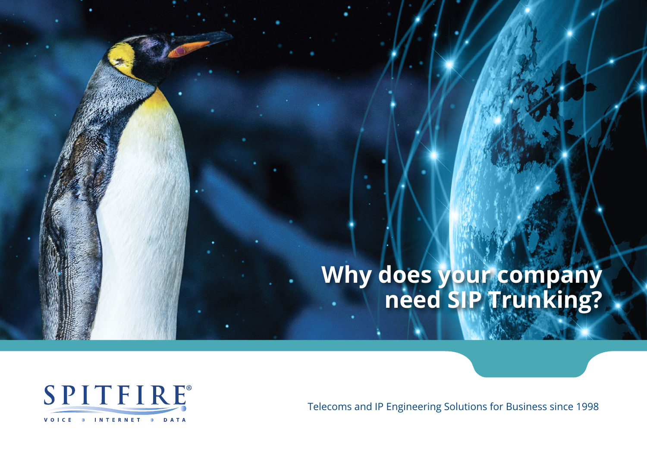## **Why does your company need SIP Trunking?**



Telecoms and IP Engineering Solutions for Business since 1998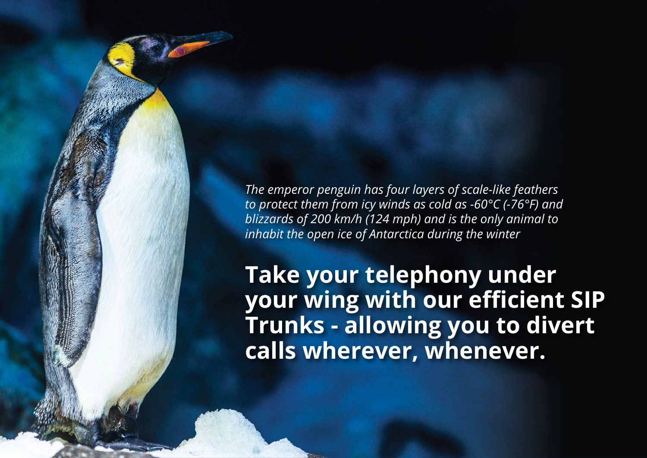*The emperor penguin has four layers of scale-like feathers to protect them from icy winds as cold as -60°C (-76°F) and blizzards of 200 km/h (124 mph) and is the only animal to inhabit the open ice of Antarctica during the winter*

**Take your telephony under your wing with our efficient SIP Trunks - allowing you to divert calls wherever, whenever.**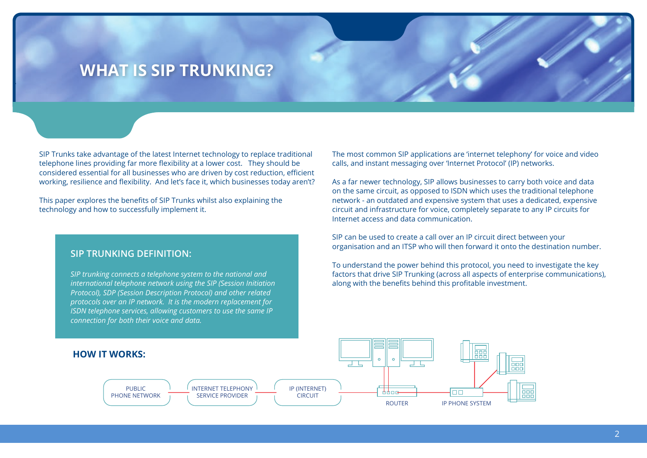### **WHAT IS SIP TRUNKING?**

SIP Trunks take advantage of the latest Internet technology to replace traditional telephone lines providing far more flexibility at a lower cost. They should be considered essential for all businesses who are driven by cost reduction, efficient working, resilience and flexibility. And let's face it, which businesses today aren't?

This paper explores the benefits of SIP Trunks whilst also explaining the technology and how to successfully implement it.

#### **SIP TRUNKING DEFINITION:**

*SIP trunking connects a telephone system to the national and international telephone network using the SIP (Session Initiation Protocol), SDP (Session Description Protocol) and other related protocols over an IP network. It is the modern replacement for ISDN telephone services, allowing customers to use the same IP connection for both their voice and data.*

The most common SIP applications are 'internet telephony' for voice and video calls, and instant messaging over 'Internet Protocol' (IP) networks.

As a far newer technology, SIP allows businesses to carry both voice and data on the same circuit, as opposed to ISDN which uses the traditional telephone network - an outdated and expensive system that uses a dedicated, expensive circuit and infrastructure for voice, completely separate to any IP circuits for Internet access and data communication.

SIP can be used to create a call over an IP circuit direct between your organisation and an ITSP who will then forward it onto the destination number.

To understand the power behind this protocol, you need to investigate the key factors that drive SIP Trunking (across all aspects of enterprise communications), along with the benefits behind this profitable investment.

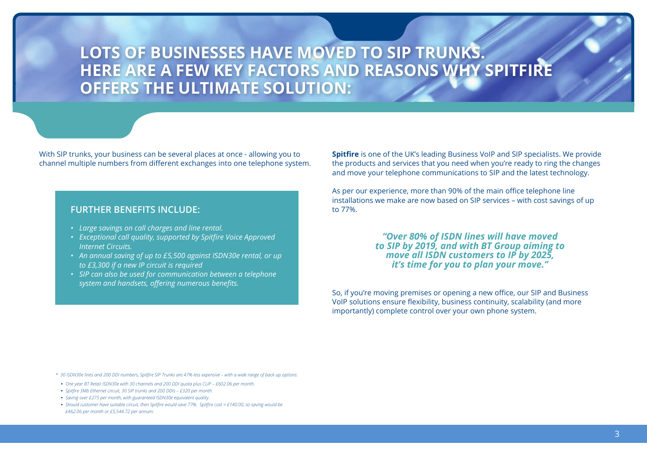## **LOTS OF BUSINESSES HAVE MOVED TO SIP TRUNKS. HERE ARE A FEW KEY FACTORS AND REASONS WHY SPITFIRE OFFERS THE ULTIMATE SOLUTION:**

With SIP trunks, your business can be several places at once - allowing you to channel multiple numbers from different exchanges into one telephone system.

#### **FURTHER BENEFITS INCLUDE:**

- *• Large savings on call charges and line rental.*
- *• Exceptional call quality, supported by Spitfire Voice Approved Internet Circuits.*
- *• An annual saving of up to £5,500 against ISDN30e rental, or up to £3,300 if a new IP circuit is required*
- *• SIP can also be used for communication between a telephone system and handsets, offering numerous benefits.*

**Spitfire** is one of the UK's leading Business VoIP and SIP specialists. We provide the products and services that you need when you're ready to ring the changes and move your telephone communications to SIP and the latest technology.

As per our experience, more than 90% of the main office telephone line installations we make are now based on SIP services – with cost savings of up to 77%.

#### *"Over 80% of ISDN lines will have moved to SIP by 2019, and with BT Group aiming to move all ISDN customers to IP by 2025, it's time for you to plan your move."*

So, if you're moving premises or opening a new office, our SIP and Business VoIP solutions ensure flexibility, business continuity, scalability (and more importantly) complete control over your own phone system.

- *\* 30 ISDN30e lines and 200 DDI numbers, Spitfire SIP Trunks are 47% less expensive with a wide range of back up options:*
- **•** *One year BT Retail ISDN30e with 30 channels and 200 DDI quota plus CLIP £602.06 per month.*
- **•** *Spitfire 3Mb Ethernet circuit, 30 SIP trunks and 200 DDIs £320 per month.*
- **•** *Saving over £275 per month, with guaranteed ISDN30e equivalent quality.*
- **•** *Should customer have suitable circuit, then Spitfire would save 77%. Spitfire cost = £140.00, so saving would be £462.06 per month or £5,544.72 per annum.*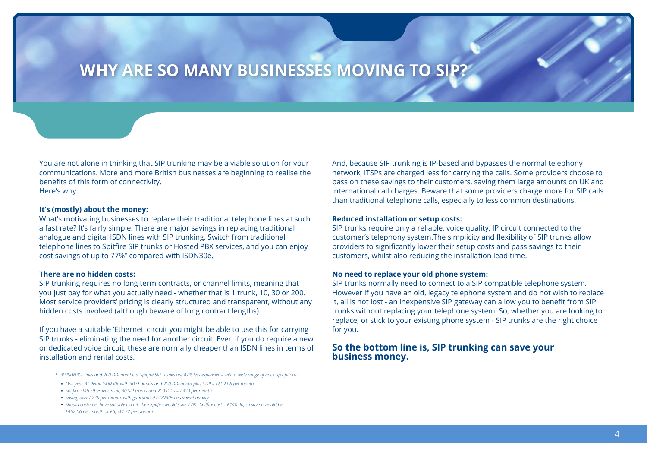### **WHY ARE SO MANY BUSINESSES MOVING TO SIP?**

You are not alone in thinking that SIP trunking may be a viable solution for your communications. More and more British businesses are beginning to realise the benefits of this form of connectivity. Here's why:

#### **It's (mostly) about the money:**

What's motivating businesses to replace their traditional telephone lines at such a fast rate? It's fairly simple. There are major savings in replacing traditional analogue and digital ISDN lines with SIP trunking. Switch from traditional telephone lines to Spitfire SIP trunks or Hosted PBX services, and you can enjoy cost savings of up to 77%\* compared with ISDN30e.

#### **There are no hidden costs:**

SIP trunking requires no long term contracts, or channel limits, meaning that you just pay for what you actually need - whether that is 1 trunk, 10, 30 or 200. Most service providers' pricing is clearly structured and transparent, without any hidden costs involved (although beware of long contract lengths).

If you have a suitable 'Ethernet' circuit you might be able to use this for carrying SIP trunks - eliminating the need for another circuit. Even if you do require a new or dedicated voice circuit, these are normally cheaper than ISDN lines in terms of installation and rental costs.

- *\* 30 ISDN30e lines and 200 DDI numbers, Spitfire SIP Trunks are 47% less expensive with a wide range of back up options:*
- **•** *One year BT Retail ISDN30e with 30 channels and 200 DDI quota plus CLIP £602.06 per month.*
- **•** *Spitfire 3Mb Ethernet circuit, 30 SIP trunks and 200 DDIs £320 per month.*
- **•** *Saving over £275 per month, with guaranteed ISDN30e equivalent quality.*
- **•** *Should customer have suitable circuit, then Spitfire would save 77%. Spitfire cost = £140.00, so saving would be £462.06 per month or £5,544.72 per annum.*

And, because SIP trunking is IP-based and bypasses the normal telephony network, ITSPs are charged less for carrying the calls. Some providers choose to pass on these savings to their customers, saving them large amounts on UK and international call charges. Beware that some providers charge more for SIP calls than traditional telephone calls, especially to less common destinations.

#### **Reduced installation or setup costs:**

SIP trunks require only a reliable, voice quality, IP circuit connected to the customer's telephony system.The simplicity and flexibility of SIP trunks allow providers to significantly lower their setup costs and pass savings to their customers, whilst also reducing the installation lead time.

#### **No need to replace your old phone system:**

SIP trunks normally need to connect to a SIP compatible telephone system. However if you have an old, legacy telephone system and do not wish to replace it, all is not lost - an inexpensive SIP gateway can allow you to benefit from SIP trunks without replacing your telephone system. So, whether you are looking to replace, or stick to your existing phone system - SIP trunks are the right choice for you.

#### **So the bottom line is, SIP trunking can save your business money.**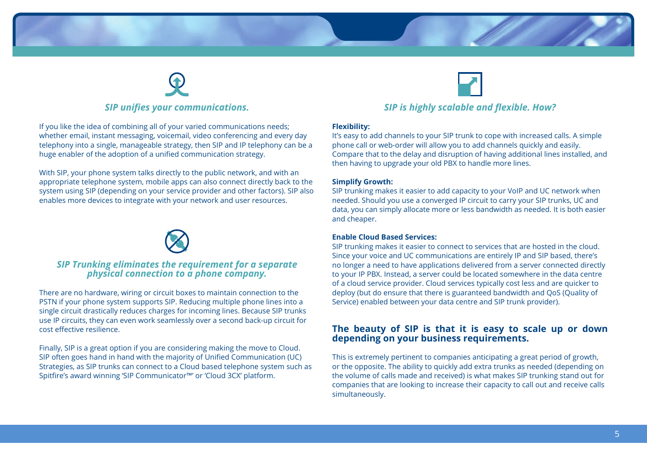



If you like the idea of combining all of your varied communications needs; whether email, instant messaging, voicemail, video conferencing and every day telephony into a single, manageable strategy, then SIP and IP telephony can be a huge enabler of the adoption of a unified communication strategy.

With SIP, your phone system talks directly to the public network, and with an appropriate telephone system, mobile apps can also connect directly back to the system using SIP (depending on your service provider and other factors). SIP also enables more devices to integrate with your network and user resources.



#### *SIP Trunking eliminates the requirement for a separate physical connection to a phone company.*

There are no hardware, wiring or circuit boxes to maintain connection to the PSTN if your phone system supports SIP. Reducing multiple phone lines into a single circuit drastically reduces charges for incoming lines. Because SIP trunks use IP circuits, they can even work seamlessly over a second back-up circuit for cost effective resilience.

Finally, SIP is a great option if you are considering making the move to Cloud. SIP often goes hand in hand with the majority of Unified Communication (UC) Strategies, as SIP trunks can connect to a Cloud based telephone system such as Spitfire's award winning 'SIP Communicator™' or 'Cloud 3CX' platform.



#### *SIP is highly scalable and flexible. How?*

#### **Flexibility:**

It's easy to add channels to your SIP trunk to cope with increased calls. A simple phone call or web-order will allow you to add channels quickly and easily. Compare that to the delay and disruption of having additional lines installed, and then having to upgrade your old PBX to handle more lines.

#### **Simplify Growth:**

SIP trunking makes it easier to add capacity to your VoIP and UC network when needed. Should you use a converged IP circuit to carry your SIP trunks, UC and data, you can simply allocate more or less bandwidth as needed. It is both easier and cheaper.

#### **Enable Cloud Based Services:**

SIP trunking makes it easier to connect to services that are hosted in the cloud. Since your voice and UC communications are entirely IP and SIP based, there's no longer a need to have applications delivered from a server connected directly to your IP PBX. Instead, a server could be located somewhere in the data centre of a cloud service provider. Cloud services typically cost less and are quicker to deploy (but do ensure that there is guaranteed bandwidth and QoS (Quality of Service) enabled between your data centre and SIP trunk provider).

#### **The beauty of SIP is that it is easy to scale up or down depending on your business requirements.**

This is extremely pertinent to companies anticipating a great period of growth, or the opposite. The ability to quickly add extra trunks as needed (depending on the volume of calls made and received) is what makes SIP trunking stand out for companies that are looking to increase their capacity to call out and receive calls simultaneously.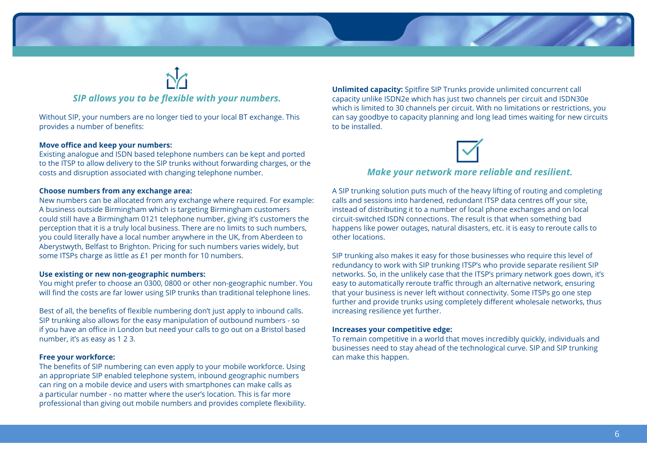

## *SIP allows you to be flexible with your numbers.*

Without SIP, your numbers are no longer tied to your local BT exchange. This provides a number of benefits:

#### **Move office and keep your numbers:**

Existing analogue and ISDN based telephone numbers can be kept and ported to the ITSP to allow delivery to the SIP trunks without forwarding charges, or the costs and disruption associated with changing telephone number.

#### **Choose numbers from any exchange area:**

New numbers can be allocated from any exchange where required. For example: A business outside Birmingham which is targeting Birmingham customers could still have a Birmingham 0121 telephone number, giving it's customers the perception that it is a truly local business. There are no limits to such numbers, you could literally have a local number anywhere in the UK, from Aberdeen to Aberystwyth, Belfast to Brighton. Pricing for such numbers varies widely, but some ITSPs charge as little as £1 per month for 10 numbers.

#### **Use existing or new non-geographic numbers:**

You might prefer to choose an 0300, 0800 or other non-geographic number. You will find the costs are far lower using SIP trunks than traditional telephone lines.

Best of all, the benefits of flexible numbering don't just apply to inbound calls. SIP trunking also allows for the easy manipulation of outbound numbers - so if you have an office in London but need your calls to go out on a Bristol based number, it's as easy as 1 2 3.

#### **Free your workforce:**

The benefits of SIP numbering can even apply to your mobile workforce. Using an appropriate SIP enabled telephone system, inbound geographic numbers can ring on a mobile device and users with smartphones can make calls as a particular number - no matter where the user's location. This is far more professional than giving out mobile numbers and provides complete flexibility. **Unlimited capacity:** Spitfire SIP Trunks provide unlimited concurrent call capacity unlike ISDN2e which has just two channels per circuit and ISDN30e which is limited to 30 channels per circuit. With no limitations or restrictions, you can say goodbye to capacity planning and long lead times waiting for new circuits to be installed.



#### *Make your network more reliable and resilient.*

A SIP trunking solution puts much of the heavy lifting of routing and completing calls and sessions into hardened, redundant ITSP data centres off your site, instead of distributing it to a number of local phone exchanges and on local circuit-switched ISDN connections. The result is that when something bad happens like power outages, natural disasters, etc. it is easy to reroute calls to other locations.

SIP trunking also makes it easy for those businesses who require this level of redundancy to work with SIP trunking ITSP's who provide separate resilient SIP networks. So, in the unlikely case that the ITSP's primary network goes down, it's easy to automatically reroute traffic through an alternative network, ensuring that your business is never left without connectivity. Some ITSPs go one step further and provide trunks using completely different wholesale networks, thus increasing resilience yet further.

#### **Increases your competitive edge:**

To remain competitive in a world that moves incredibly quickly, individuals and businesses need to stay ahead of the technological curve. SIP and SIP trunking can make this happen.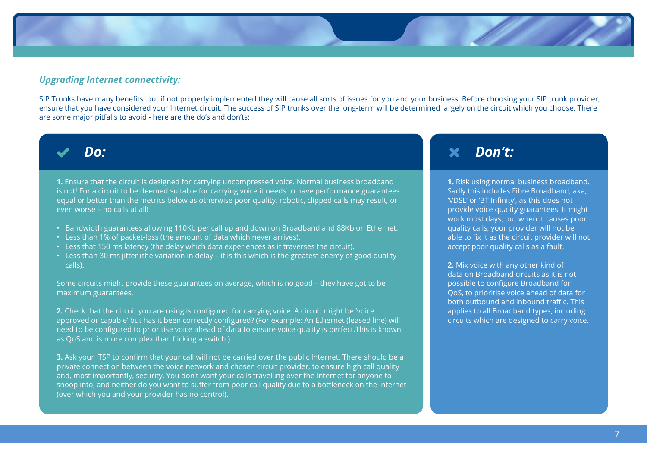#### *Upgrading Internet connectivity:*

SIP Trunks have many benefits, but if not properly implemented they will cause all sorts of issues for you and your business. Before choosing your SIP trunk provider, ensure that you have considered your Internet circuit. The success of SIP trunks over the long-term will be determined largely on the circuit which you choose. There are some major pitfalls to avoid - here are the do's and don'ts:



**1.** Ensure that the circuit is designed for carrying uncompressed voice. Normal business broadband is not! For a circuit to be deemed suitable for carrying voice it needs to have performance guarantees equal or better than the metrics below as otherwise poor quality, robotic, clipped calls may result, or even worse – no calls at all!

- Bandwidth guarantees allowing 110Kb per call up and down on Broadband and 88Kb on Ethernet.
- Less than 1% of packet-loss (the amount of data which never arrives).
- Less that 150 ms latency (the delay which data experiences as it traverses the circuit).
- Less than 30 ms jitter (the variation in delay it is this which is the greatest enemy of good quality calls).

Some circuits might provide these guarantees on average, which is no good – they have got to be maximum guarantees.

**2.** Check that the circuit you are using is configured for carrying voice. A circuit might be 'voice approved or capable' but has it been correctly configured? (For example: An Ethernet (leased line) will need to be configured to prioritise voice ahead of data to ensure voice quality is perfect.This is known as QoS and is more complex than flicking a switch.)

**3.** Ask your ITSP to confirm that your call will not be carried over the public Internet. There should be a private connection between the voice network and chosen circuit provider, to ensure high call quality and, most importantly, security. You don't want your calls travelling over the Internet for anyone to snoop into, and neither do you want to suffer from poor call quality due to a bottleneck on the Internet (over which you and your provider has no control).

### *Don't:*

**1.** Risk using normal business broadband. Sadly this includes Fibre Broadband, aka, 'VDSL' or 'BT Infinity', as this does not provide voice quality guarantees. It might work most days, but when it causes poor quality calls, your provider will not be able to fix it as the circuit provider will not accept poor quality calls as a fault.

**2.** Mix voice with any other kind of data on Broadband circuits as it is not possible to configure Broadband for QoS, to prioritise voice ahead of data for both outbound and inbound traffic. This applies to all Broadband types, including circuits which are designed to carry voice.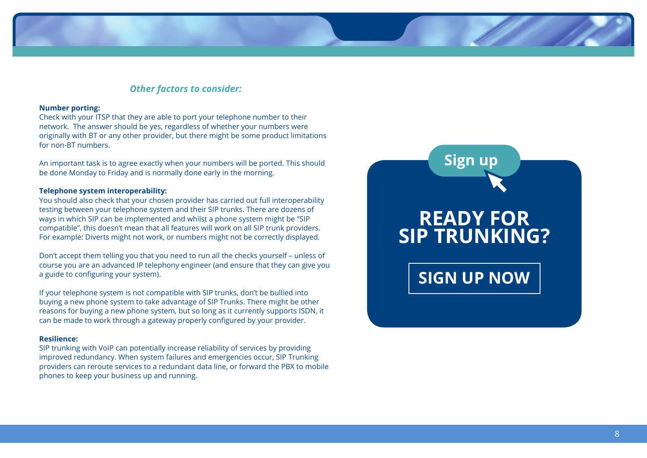#### *Other factors to consider:*

#### **Number porting:**

Check with your ITSP that they are able to port your telephone number to their network. The answer should be yes, regardless of whether your numbers were originally with BT or any other provider, but there might be some product limitations for non-BT numbers.

An important task is to agree exactly when your numbers will be ported. This should be done Monday to Friday and is normally done early in the morning.

#### **Telephone system interoperability:**

You should also check that your chosen provider has carried out full interoperability testing between your telephone system and their SIP trunks. There are dozens of ways in which SIP can be implemented and whilst a phone system might be "SIP compatible", this doesn't mean that all features will work on all SIP trunk providers. For example: Diverts might not work, or numbers might not be correctly displayed.

Don't accept them telling you that you need to run all the checks yourself – unless of course you are an advanced IP telephony engineer (and ensure that they can give you a guide to configuring your system).

If your telephone system is not compatible with SIP trunks, don't be bullied into buying a new phone system to take advantage of SIP Trunks. There might be other reasons for buying a new phone system, but so long as it currently supports ISDN, it can be made to work through a gateway properly configured by your provider.

#### **Resilience:**

SIP trunking with VoIP can potentially increase reliability of services by providing improved redundancy. When system failures and emergencies occur, SIP Trunking providers can reroute services to a redundant data line, or forward the PBX to mobile phones to keep your business up and running.

# **READY FOR SIP TRUNKING? SIGN UP NOW Sign up**